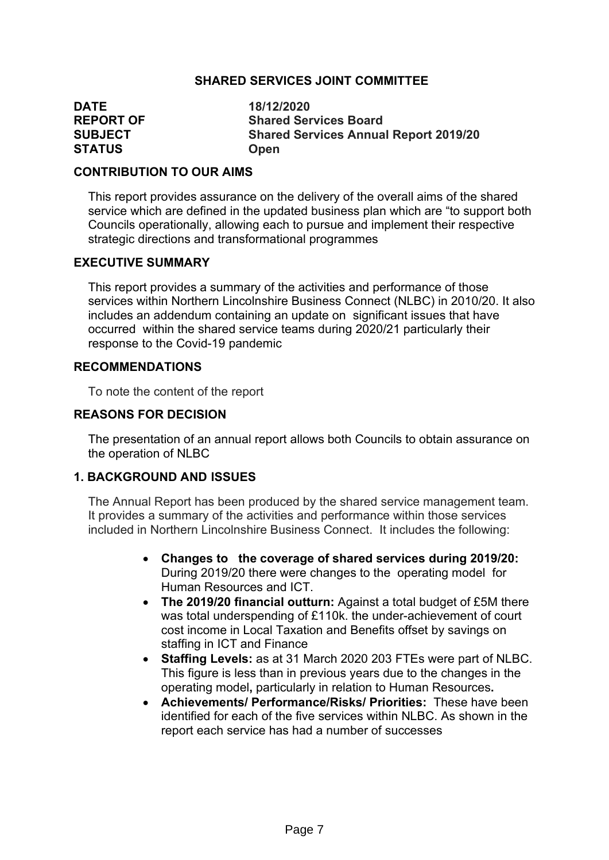# **SHARED SERVICES JOINT COMMITTEE**

**DATE 18/12/2020 STATUS Open** 

**REPORT OF Shared Services Board SUBJECT Shared Services Annual Report 2019/20** 

#### **CONTRIBUTION TO OUR AIMS**

This report provides assurance on the delivery of the overall aims of the shared service which are defined in the updated business plan which are "to support both Councils operationally, allowing each to pursue and implement their respective strategic directions and transformational programmes

#### **EXECUTIVE SUMMARY**

This report provides a summary of the activities and performance of those services within Northern Lincolnshire Business Connect (NLBC) in 2010/20. It also includes an addendum containing an update on significant issues that have occurred within the shared service teams during 2020/21 particularly their response to the Covid-19 pandemic

#### **RECOMMENDATIONS**

To note the content of the report

#### **REASONS FOR DECISION**

The presentation of an annual report allows both Councils to obtain assurance on the operation of NLBC

# **1. BACKGROUND AND ISSUES**

The Annual Report has been produced by the shared service management team. It provides a summary of the activities and performance within those services included in Northern Lincolnshire Business Connect. It includes the following:

- **Changes to the coverage of shared services during 2019/20:**  During 2019/20 there were changes to the operating model for Human Resources and ICT.
- **The 2019/20 financial outturn:** Against a total budget of £5M there was total underspending of £110k. the under-achievement of court cost income in Local Taxation and Benefits offset by savings on staffing in ICT and Finance
- **Staffing Levels:** as at 31 March 2020 203 FTEs were part of NLBC. This figure is less than in previous years due to the changes in the operating model**,** particularly in relation to Human Resources**.**
- **Achievements/ Performance/Risks/ Priorities:** These have been identified for each of the five services within NLBC. As shown in the report each service has had a number of successes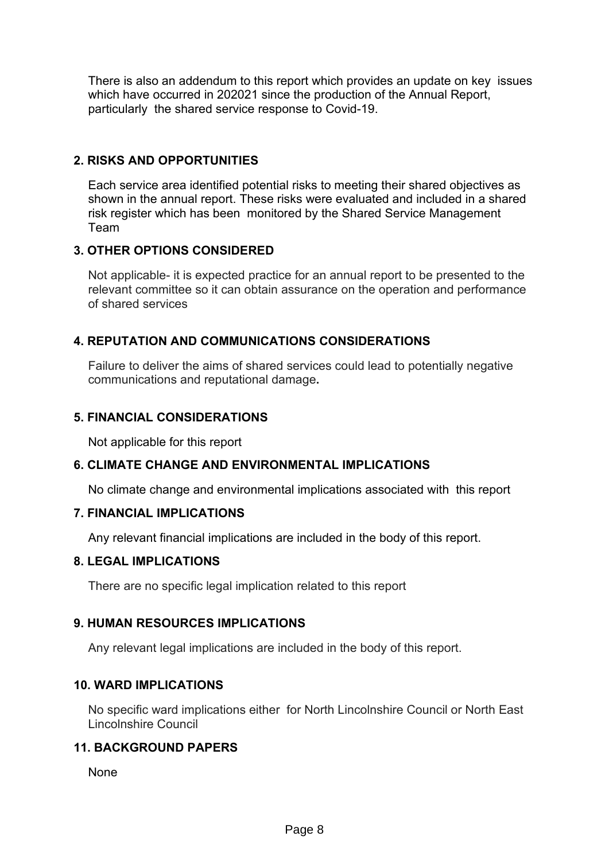There is also an addendum to this report which provides an update on key issues which have occurred in 202021 since the production of the Annual Report, particularly the shared service response to Covid-19.

# **2. RISKS AND OPPORTUNITIES**

Each service area identified potential risks to meeting their shared objectives as shown in the annual report. These risks were evaluated and included in a shared risk register which has been monitored by the Shared Service Management Team

# **3. OTHER OPTIONS CONSIDERED**

Not applicable- it is expected practice for an annual report to be presented to the relevant committee so it can obtain assurance on the operation and performance of shared services

# **4. REPUTATION AND COMMUNICATIONS CONSIDERATIONS**

Failure to deliver the aims of shared services could lead to potentially negative communications and reputational damage**.** 

# **5. FINANCIAL CONSIDERATIONS**

Not applicable for this report

# **6. CLIMATE CHANGE AND ENVIRONMENTAL IMPLICATIONS**

No climate change and environmental implications associated with this report

# **7. FINANCIAL IMPLICATIONS**

Any relevant financial implications are included in the body of this report.

# **8. LEGAL IMPLICATIONS**

There are no specific legal implication related to this report

# **9. HUMAN RESOURCES IMPLICATIONS**

Any relevant legal implications are included in the body of this report.

#### **10. WARD IMPLICATIONS**

No specific ward implications either for North Lincolnshire Council or North East Lincolnshire Council

# **11. BACKGROUND PAPERS**

None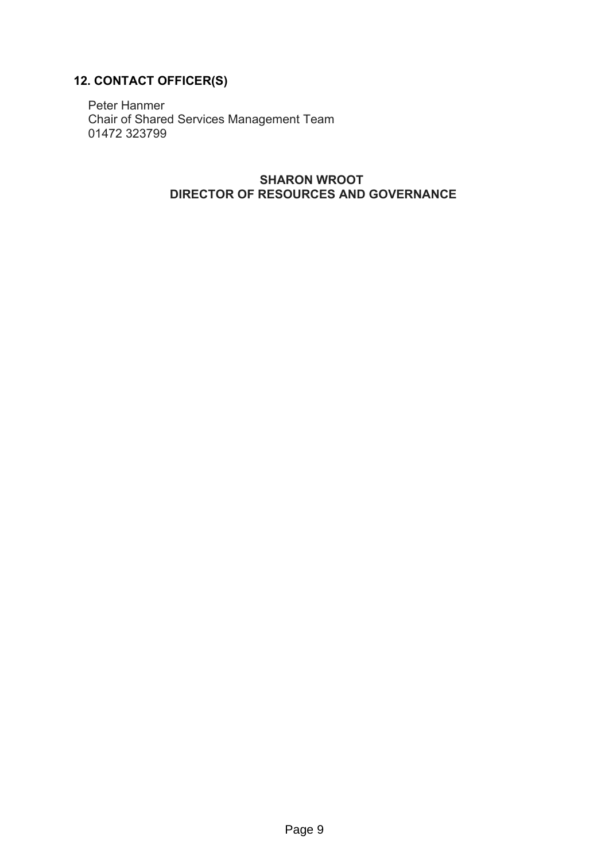# **12. CONTACT OFFICER(S)**

Peter Hanmer Chair of Shared Services Management Team 01472 323799

# **SHARON WROOT DIRECTOR OF RESOURCES AND GOVERNANCE**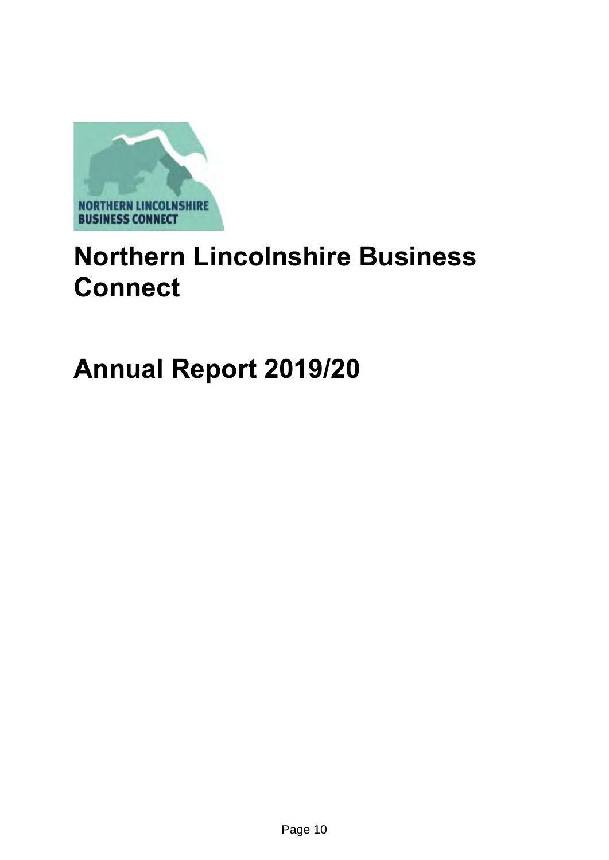

# **Northern Lincolnshire Business Connect**

# **Annual Report 2019/20**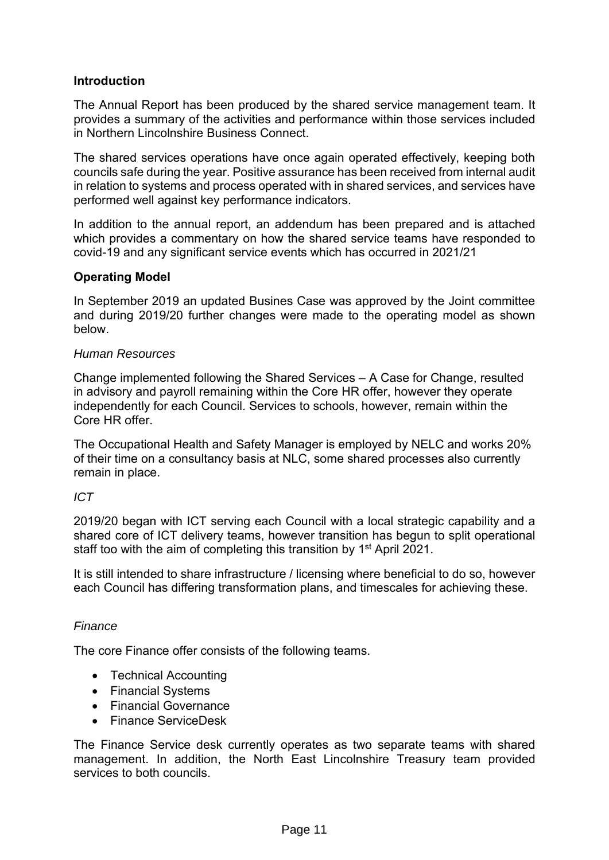# **Introduction**

The Annual Report has been produced by the shared service management team. It provides a summary of the activities and performance within those services included in Northern Lincolnshire Business Connect.

The shared services operations have once again operated effectively, keeping both councils safe during the year. Positive assurance has been received from internal audit in relation to systems and process operated with in shared services, and services have performed well against key performance indicators.

In addition to the annual report, an addendum has been prepared and is attached which provides a commentary on how the shared service teams have responded to covid-19 and any significant service events which has occurred in 2021/21

# **Operating Model**

In September 2019 an updated Busines Case was approved by the Joint committee and during 2019/20 further changes were made to the operating model as shown below.

# *Human Resources*

Change implemented following the Shared Services – A Case for Change, resulted in advisory and payroll remaining within the Core HR offer, however they operate independently for each Council. Services to schools, however, remain within the Core HR offer.

The Occupational Health and Safety Manager is employed by NELC and works 20% of their time on a consultancy basis at NLC, some shared processes also currently remain in place.

# *ICT*

2019/20 began with ICT serving each Council with a local strategic capability and a shared core of ICT delivery teams, however transition has begun to split operational staff too with the aim of completing this transition by 1<sup>st</sup> April 2021.

It is still intended to share infrastructure / licensing where beneficial to do so, however each Council has differing transformation plans, and timescales for achieving these.

# *Finance*

The core Finance offer consists of the following teams.

- Technical Accounting
- Financial Systems
- Financial Governance
- Finance ServiceDesk

The Finance Service desk currently operates as two separate teams with shared management. In addition, the North East Lincolnshire Treasury team provided services to both councils.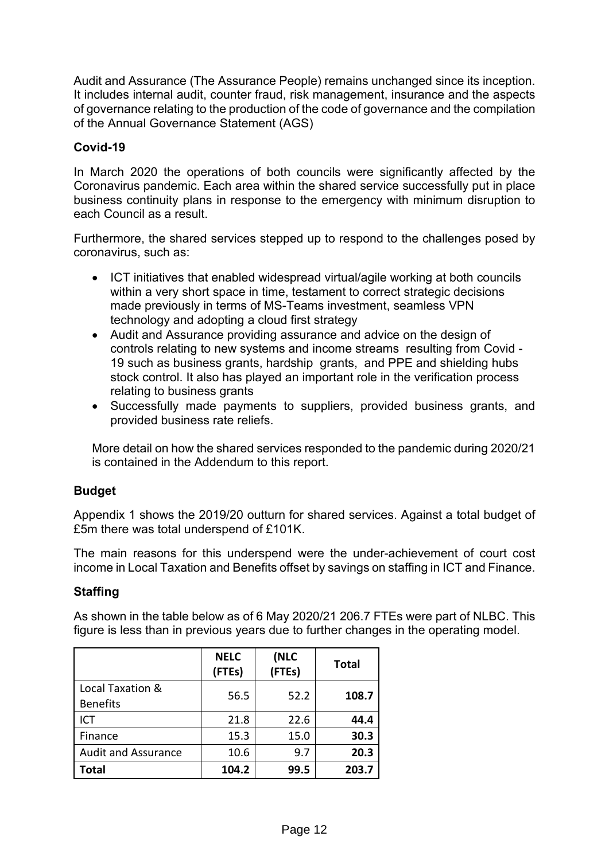Audit and Assurance (The Assurance People) remains unchanged since its inception. It includes internal audit, counter fraud, risk management, insurance and the aspects of governance relating to the production of the code of governance and the compilation of the Annual Governance Statement (AGS)

# **Covid-19**

In March 2020 the operations of both councils were significantly affected by the Coronavirus pandemic. Each area within the shared service successfully put in place business continuity plans in response to the emergency with minimum disruption to each Council as a result.

Furthermore, the shared services stepped up to respond to the challenges posed by coronavirus, such as:

- ICT initiatives that enabled widespread virtual/agile working at both councils within a very short space in time, testament to correct strategic decisions made previously in terms of MS-Teams investment, seamless VPN technology and adopting a cloud first strategy
- Audit and Assurance providing assurance and advice on the design of controls relating to new systems and income streams resulting from Covid - 19 such as business grants, hardship grants, and PPE and shielding hubs stock control. It also has played an important role in the verification process relating to business grants
- Successfully made payments to suppliers, provided business grants, and provided business rate reliefs.

More detail on how the shared services responded to the pandemic during 2020/21 is contained in the Addendum to this report.

# **Budget**

Appendix 1 shows the 2019/20 outturn for shared services. Against a total budget of £5m there was total underspend of £101K.

The main reasons for this underspend were the under-achievement of court cost income in Local Taxation and Benefits offset by savings on staffing in ICT and Finance.

# **Staffing**

As shown in the table below as of 6 May 2020/21 206.7 FTEs were part of NLBC. This figure is less than in previous years due to further changes in the operating model.

|                                     | <b>NELC</b><br>(FTEs) | (NLC<br>(FTEs) | <b>Total</b> |
|-------------------------------------|-----------------------|----------------|--------------|
| Local Taxation &<br><b>Benefits</b> | 56.5                  | 52.2           | 108.7        |
| ICT                                 | 21.8                  | 22.6           | 44.4         |
| Finance                             | 15.3                  | 15.0           | 30.3         |
| <b>Audit and Assurance</b>          | 10.6                  | 9.7            | 20.3         |
| <b>Total</b>                        | 104.2                 | 99.5           | 203.7        |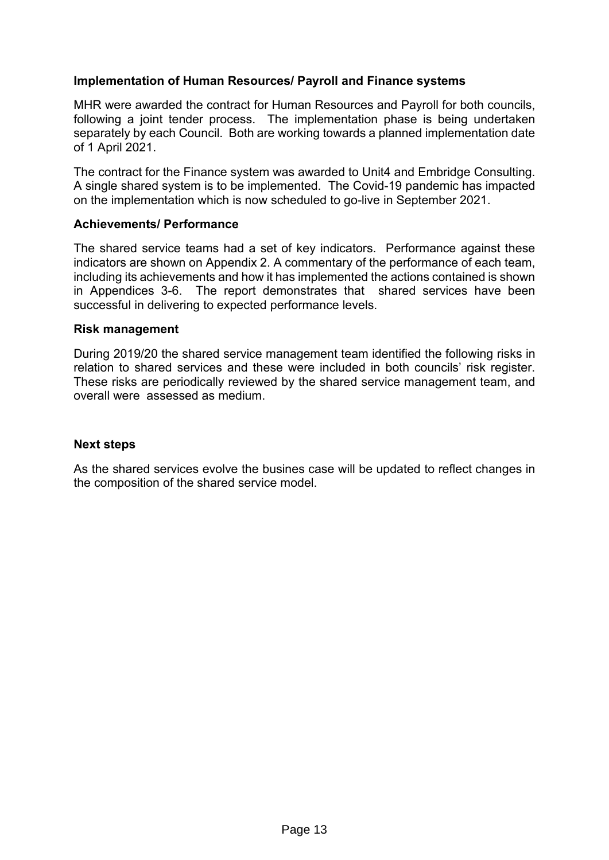# **Implementation of Human Resources/ Payroll and Finance systems**

MHR were awarded the contract for Human Resources and Payroll for both councils, following a joint tender process. The implementation phase is being undertaken separately by each Council. Both are working towards a planned implementation date of 1 April 2021.

The contract for the Finance system was awarded to Unit4 and Embridge Consulting. A single shared system is to be implemented. The Covid-19 pandemic has impacted on the implementation which is now scheduled to go-live in September 2021.

# **Achievements/ Performance**

The shared service teams had a set of key indicators. Performance against these indicators are shown on Appendix 2. A commentary of the performance of each team, including its achievements and how it has implemented the actions contained is shown in Appendices 3-6. The report demonstrates that shared services have been successful in delivering to expected performance levels.

#### **Risk management**

During 2019/20 the shared service management team identified the following risks in relation to shared services and these were included in both councils' risk register. These risks are periodically reviewed by the shared service management team, and overall were assessed as medium.

#### **Next steps**

As the shared services evolve the busines case will be updated to reflect changes in the composition of the shared service model.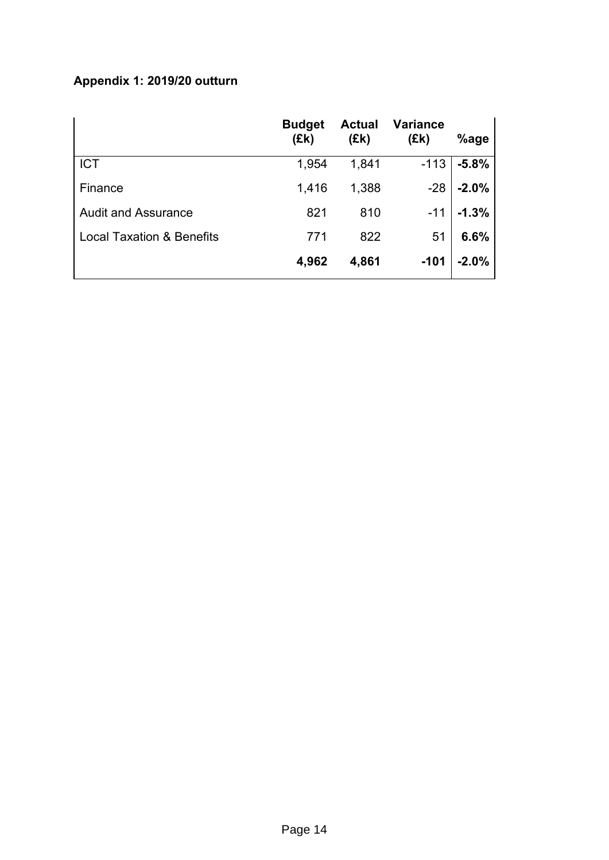# **Appendix 1: 2019/20 outturn**

|                                      | <b>Budget</b><br>(Ek) | <b>Actual</b><br>(Ek) | <b>Variance</b><br>(Ek) | %age    |
|--------------------------------------|-----------------------|-----------------------|-------------------------|---------|
| <b>ICT</b>                           | 1,954                 | 1,841                 | $-113$                  | $-5.8%$ |
| Finance                              | 1,416                 | 1,388                 | $-28$                   | $-2.0%$ |
| <b>Audit and Assurance</b>           | 821                   | 810                   | $-11$                   | $-1.3%$ |
| <b>Local Taxation &amp; Benefits</b> | 771                   | 822                   | 51                      | 6.6%    |
|                                      | 4,962                 | 4,861                 | $-101$                  | $-2.0%$ |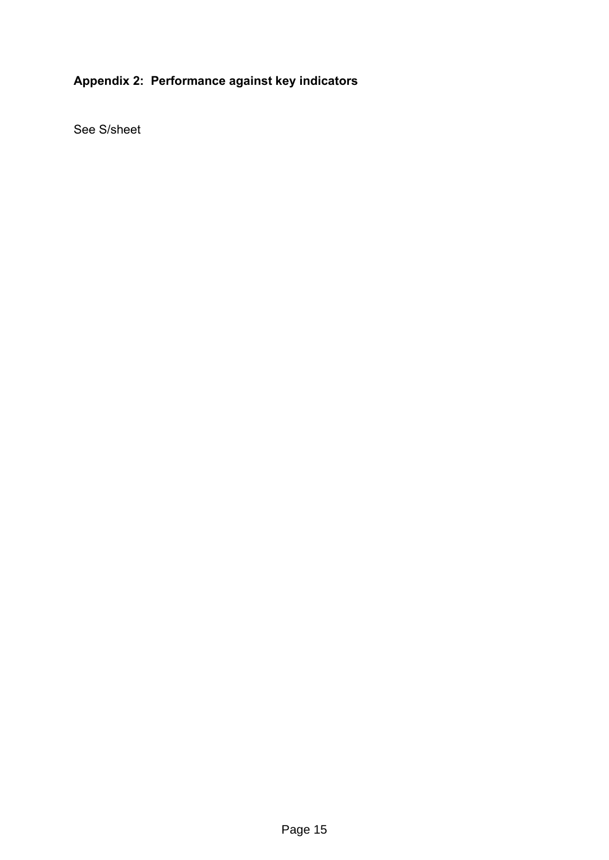# **Appendix 2: Performance against key indicators**

See S/sheet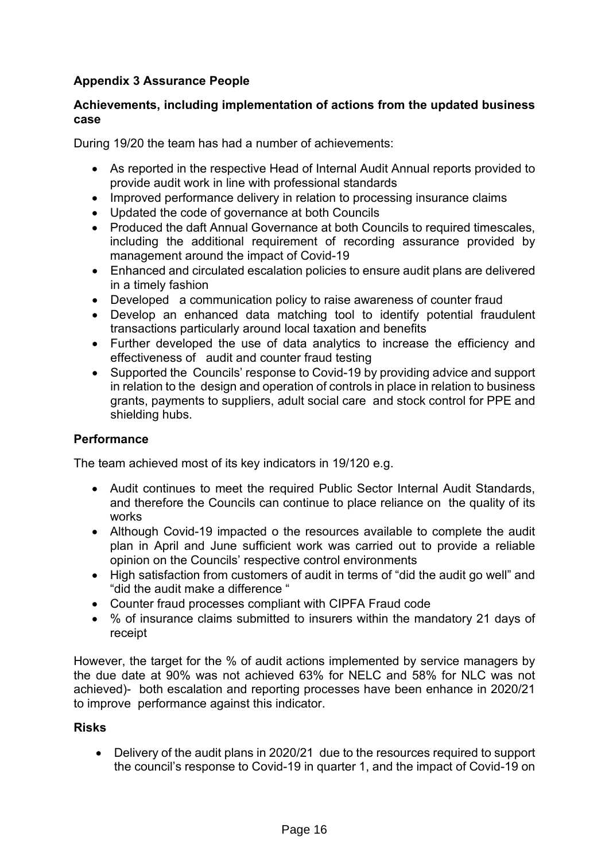# **Appendix 3 Assurance People**

# **Achievements, including implementation of actions from the updated business case**

During 19/20 the team has had a number of achievements:

- As reported in the respective Head of Internal Audit Annual reports provided to provide audit work in line with professional standards
- Improved performance delivery in relation to processing insurance claims
- Updated the code of governance at both Councils
- Produced the daft Annual Governance at both Councils to required timescales, including the additional requirement of recording assurance provided by management around the impact of Covid-19
- Enhanced and circulated escalation policies to ensure audit plans are delivered in a timely fashion
- Developed a communication policy to raise awareness of counter fraud
- Develop an enhanced data matching tool to identify potential fraudulent transactions particularly around local taxation and benefits
- Further developed the use of data analytics to increase the efficiency and effectiveness of audit and counter fraud testing
- Supported the Councils' response to Covid-19 by providing advice and support in relation to the design and operation of controls in place in relation to business grants, payments to suppliers, adult social care and stock control for PPE and shielding hubs.

# **Performance**

The team achieved most of its key indicators in 19/120 e.g.

- Audit continues to meet the required Public Sector Internal Audit Standards, and therefore the Councils can continue to place reliance on the quality of its works
- Although Covid-19 impacted o the resources available to complete the audit plan in April and June sufficient work was carried out to provide a reliable opinion on the Councils' respective control environments
- High satisfaction from customers of audit in terms of "did the audit go well" and "did the audit make a difference "
- Counter fraud processes compliant with CIPFA Fraud code
- % of insurance claims submitted to insurers within the mandatory 21 days of receipt

However, the target for the % of audit actions implemented by service managers by the due date at 90% was not achieved 63% for NELC and 58% for NLC was not achieved)- both escalation and reporting processes have been enhance in 2020/21 to improve performance against this indicator.

# **Risks**

• Delivery of the audit plans in 2020/21 due to the resources required to support the council's response to Covid-19 in quarter 1, and the impact of Covid-19 on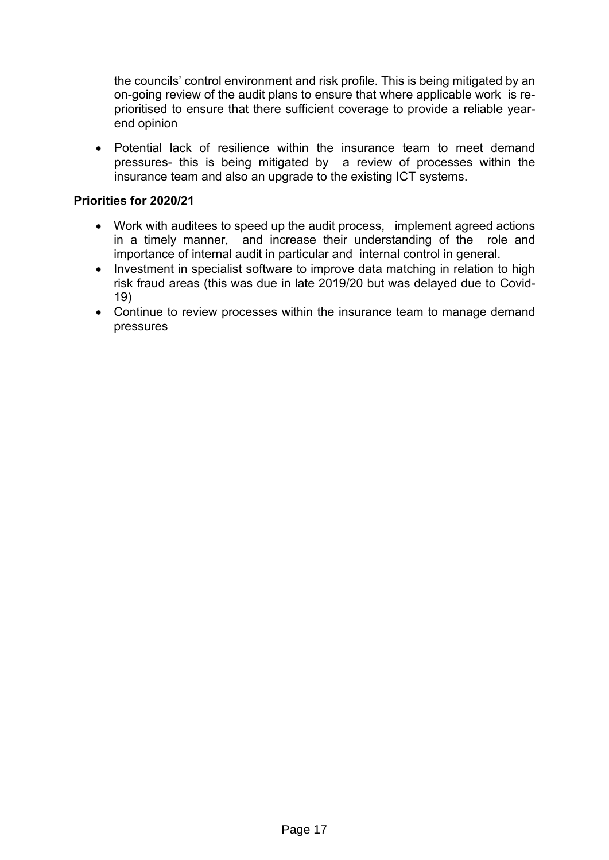the councils' control environment and risk profile. This is being mitigated by an on-going review of the audit plans to ensure that where applicable work is reprioritised to ensure that there sufficient coverage to provide a reliable yearend opinion

• Potential lack of resilience within the insurance team to meet demand pressures- this is being mitigated by a review of processes within the insurance team and also an upgrade to the existing ICT systems.

### **Priorities for 2020/21**

- Work with auditees to speed up the audit process, implement agreed actions in a timely manner, and increase their understanding of the role and importance of internal audit in particular and internal control in general.
- Investment in specialist software to improve data matching in relation to high risk fraud areas (this was due in late 2019/20 but was delayed due to Covid-19)
- Continue to review processes within the insurance team to manage demand pressures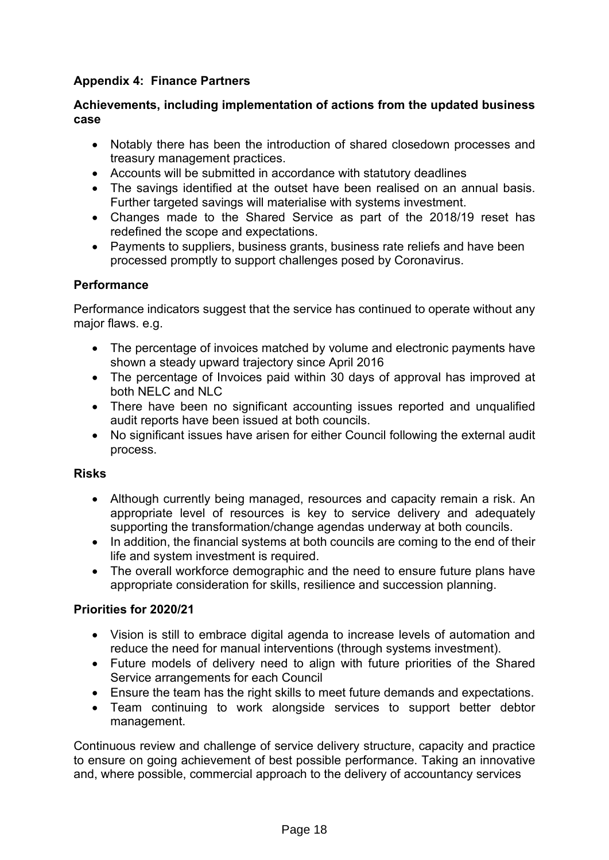# **Appendix 4: Finance Partners**

# **Achievements, including implementation of actions from the updated business case**

- Notably there has been the introduction of shared closedown processes and treasury management practices.
- Accounts will be submitted in accordance with statutory deadlines
- The savings identified at the outset have been realised on an annual basis. Further targeted savings will materialise with systems investment.
- Changes made to the Shared Service as part of the 2018/19 reset has redefined the scope and expectations.
- Payments to suppliers, business grants, business rate reliefs and have been processed promptly to support challenges posed by Coronavirus.

# **Performance**

Performance indicators suggest that the service has continued to operate without any major flaws. e.g.

- The percentage of invoices matched by volume and electronic payments have shown a steady upward trajectory since April 2016
- The percentage of Invoices paid within 30 days of approval has improved at both NELC and NLC
- There have been no significant accounting issues reported and unqualified audit reports have been issued at both councils.
- No significant issues have arisen for either Council following the external audit process.

# **Risks**

- Although currently being managed, resources and capacity remain a risk. An appropriate level of resources is key to service delivery and adequately supporting the transformation/change agendas underway at both councils.
- In addition, the financial systems at both councils are coming to the end of their life and system investment is required.
- The overall workforce demographic and the need to ensure future plans have appropriate consideration for skills, resilience and succession planning.

# **Priorities for 2020/21**

- Vision is still to embrace digital agenda to increase levels of automation and reduce the need for manual interventions (through systems investment).
- Future models of delivery need to align with future priorities of the Shared Service arrangements for each Council
- Ensure the team has the right skills to meet future demands and expectations.
- Team continuing to work alongside services to support better debtor management.

Continuous review and challenge of service delivery structure, capacity and practice to ensure on going achievement of best possible performance. Taking an innovative and, where possible, commercial approach to the delivery of accountancy services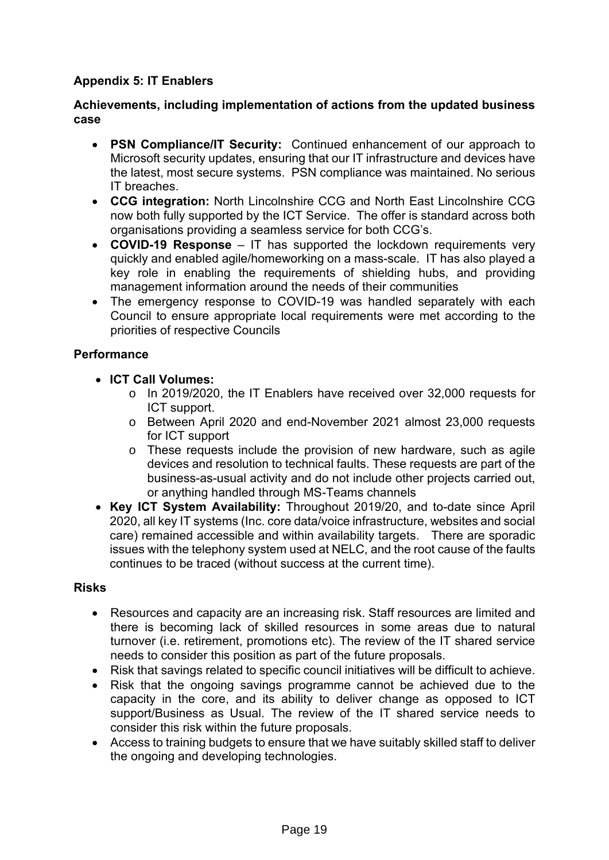# **Appendix 5: IT Enablers**

# **Achievements, including implementation of actions from the updated business case**

- **PSN Compliance/IT Security:** Continued enhancement of our approach to Microsoft security updates, ensuring that our IT infrastructure and devices have the latest, most secure systems. PSN compliance was maintained. No serious IT breaches.
- **CCG integration:** North Lincolnshire CCG and North East Lincolnshire CCG now both fully supported by the ICT Service. The offer is standard across both organisations providing a seamless service for both CCG's.
- **COVID-19 Response** IT has supported the lockdown requirements very quickly and enabled agile/homeworking on a mass-scale. IT has also played a key role in enabling the requirements of shielding hubs, and providing management information around the needs of their communities
- The emergency response to COVID-19 was handled separately with each Council to ensure appropriate local requirements were met according to the priorities of respective Councils

# **Performance**

- **ICT Call Volumes:**
	- o In 2019/2020, the IT Enablers have received over 32,000 requests for ICT support.
	- o Between April 2020 and end-November 2021 almost 23,000 requests for ICT support
	- o These requests include the provision of new hardware, such as agile devices and resolution to technical faults. These requests are part of the business-as-usual activity and do not include other projects carried out, or anything handled through MS-Teams channels
- **Key ICT System Availability:** Throughout 2019/20, and to-date since April 2020, all key IT systems (Inc. core data/voice infrastructure, websites and social care) remained accessible and within availability targets. There are sporadic issues with the telephony system used at NELC, and the root cause of the faults continues to be traced (without success at the current time).

# **Risks**

- Resources and capacity are an increasing risk. Staff resources are limited and there is becoming lack of skilled resources in some areas due to natural turnover (i.e. retirement, promotions etc). The review of the IT shared service needs to consider this position as part of the future proposals.
- Risk that savings related to specific council initiatives will be difficult to achieve.
- Risk that the ongoing savings programme cannot be achieved due to the capacity in the core, and its ability to deliver change as opposed to ICT support/Business as Usual. The review of the IT shared service needs to consider this risk within the future proposals.
- Access to training budgets to ensure that we have suitably skilled staff to deliver the ongoing and developing technologies.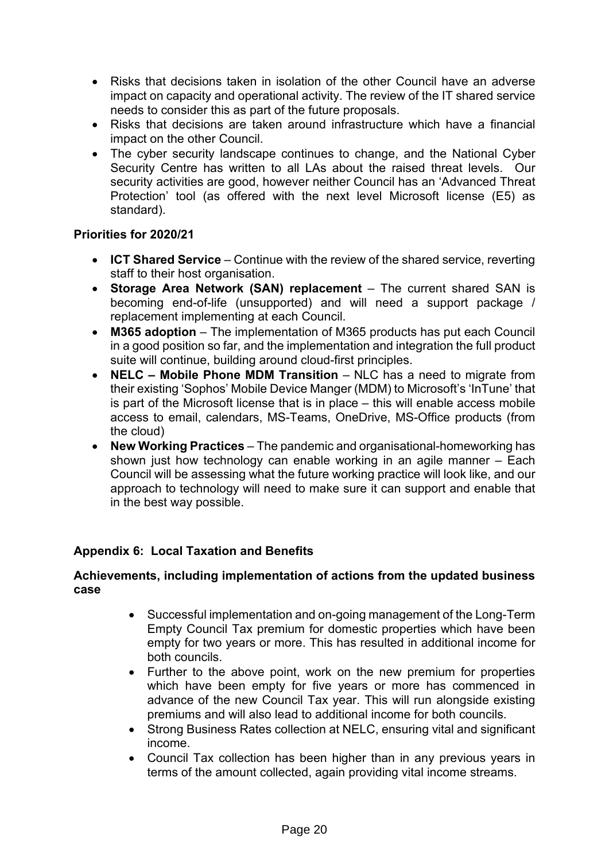- Risks that decisions taken in isolation of the other Council have an adverse impact on capacity and operational activity. The review of the IT shared service needs to consider this as part of the future proposals.
- Risks that decisions are taken around infrastructure which have a financial impact on the other Council.
- The cyber security landscape continues to change, and the National Cyber Security Centre has written to all LAs about the raised threat levels. Our security activities are good, however neither Council has an 'Advanced Threat Protection' tool (as offered with the next level Microsoft license (E5) as standard).

# **Priorities for 2020/21**

- **ICT Shared Service** Continue with the review of the shared service, reverting staff to their host organisation.
- **Storage Area Network (SAN) replacement** The current shared SAN is becoming end-of-life (unsupported) and will need a support package / replacement implementing at each Council.
- **M365 adoption** The implementation of M365 products has put each Council in a good position so far, and the implementation and integration the full product suite will continue, building around cloud-first principles.
- **NELC Mobile Phone MDM Transition** NLC has a need to migrate from their existing 'Sophos' Mobile Device Manger (MDM) to Microsoft's 'InTune' that is part of the Microsoft license that is in place – this will enable access mobile access to email, calendars, MS-Teams, OneDrive, MS-Office products (from the cloud)
- **New Working Practices** The pandemic and organisational-homeworking has shown just how technology can enable working in an agile manner – Each Council will be assessing what the future working practice will look like, and our approach to technology will need to make sure it can support and enable that in the best way possible.

# **Appendix 6: Local Taxation and Benefits**

# **Achievements, including implementation of actions from the updated business case**

- Successful implementation and on-going management of the Long-Term Empty Council Tax premium for domestic properties which have been empty for two years or more. This has resulted in additional income for both councils.
- Further to the above point, work on the new premium for properties which have been empty for five years or more has commenced in advance of the new Council Tax year. This will run alongside existing premiums and will also lead to additional income for both councils.
- Strong Business Rates collection at NELC, ensuring vital and significant income.
- Council Tax collection has been higher than in any previous years in terms of the amount collected, again providing vital income streams.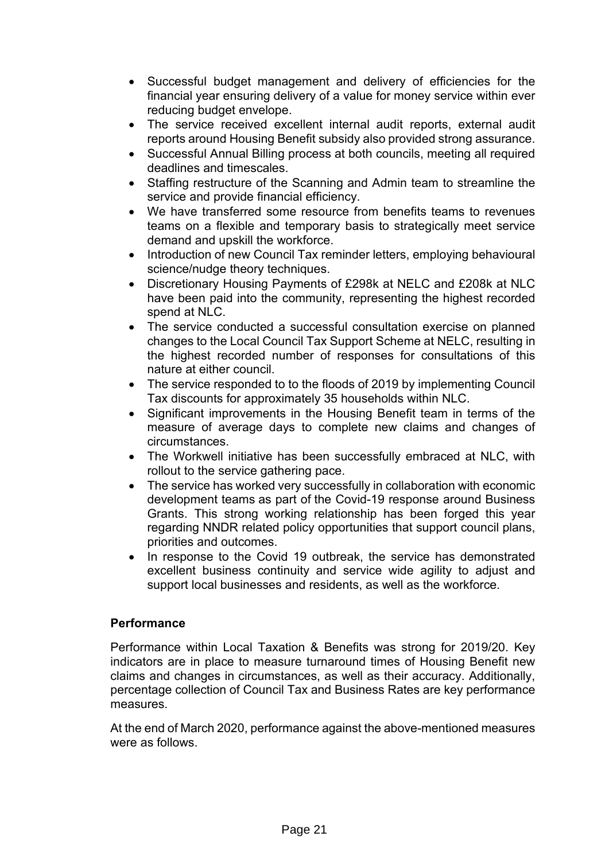- Successful budget management and delivery of efficiencies for the financial year ensuring delivery of a value for money service within ever reducing budget envelope.
- The service received excellent internal audit reports, external audit reports around Housing Benefit subsidy also provided strong assurance.
- Successful Annual Billing process at both councils, meeting all required deadlines and timescales.
- Staffing restructure of the Scanning and Admin team to streamline the service and provide financial efficiency.
- We have transferred some resource from benefits teams to revenues teams on a flexible and temporary basis to strategically meet service demand and upskill the workforce.
- Introduction of new Council Tax reminder letters, emploving behavioural science/nudge theory techniques.
- Discretionary Housing Payments of £298k at NELC and £208k at NLC have been paid into the community, representing the highest recorded spend at NLC.
- The service conducted a successful consultation exercise on planned changes to the Local Council Tax Support Scheme at NELC, resulting in the highest recorded number of responses for consultations of this nature at either council.
- The service responded to to the floods of 2019 by implementing Council Tax discounts for approximately 35 households within NLC.
- Significant improvements in the Housing Benefit team in terms of the measure of average days to complete new claims and changes of circumstances.
- The Workwell initiative has been successfully embraced at NLC, with rollout to the service gathering pace.
- The service has worked very successfully in collaboration with economic development teams as part of the Covid-19 response around Business Grants. This strong working relationship has been forged this year regarding NNDR related policy opportunities that support council plans, priorities and outcomes.
- In response to the Covid 19 outbreak, the service has demonstrated excellent business continuity and service wide agility to adjust and support local businesses and residents, as well as the workforce.

# **Performance**

Performance within Local Taxation & Benefits was strong for 2019/20. Key indicators are in place to measure turnaround times of Housing Benefit new claims and changes in circumstances, as well as their accuracy. Additionally, percentage collection of Council Tax and Business Rates are key performance measures.

At the end of March 2020, performance against the above-mentioned measures were as follows.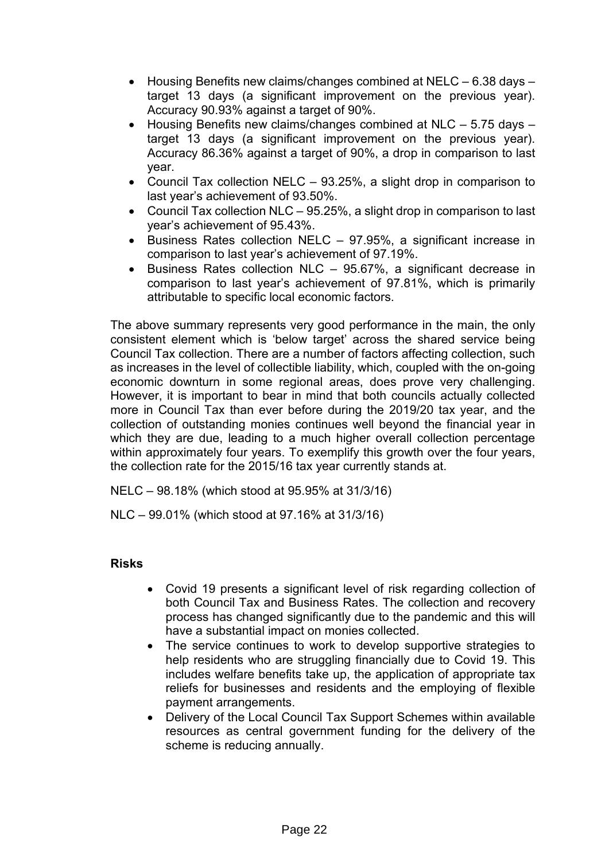- Housing Benefits new claims/changes combined at NELC 6.38 days target 13 days (a significant improvement on the previous year). Accuracy 90.93% against a target of 90%.
- Housing Benefits new claims/changes combined at NLC 5.75 days target 13 days (a significant improvement on the previous year). Accuracy 86.36% against a target of 90%, a drop in comparison to last year.
- Council Tax collection NELC 93.25%, a slight drop in comparison to last year's achievement of 93.50%.
- Council Tax collection NLC 95.25%, a slight drop in comparison to last year's achievement of 95.43%.
- Business Rates collection NELC 97.95%, a significant increase in comparison to last year's achievement of 97.19%.
- Business Rates collection NLC 95.67%, a significant decrease in comparison to last year's achievement of 97.81%, which is primarily attributable to specific local economic factors.

The above summary represents very good performance in the main, the only consistent element which is 'below target' across the shared service being Council Tax collection. There are a number of factors affecting collection, such as increases in the level of collectible liability, which, coupled with the on-going economic downturn in some regional areas, does prove very challenging. However, it is important to bear in mind that both councils actually collected more in Council Tax than ever before during the 2019/20 tax year, and the collection of outstanding monies continues well beyond the financial year in which they are due, leading to a much higher overall collection percentage within approximately four years. To exemplify this growth over the four years, the collection rate for the 2015/16 tax year currently stands at.

NELC – 98.18% (which stood at 95.95% at 31/3/16)

NLC – 99.01% (which stood at 97.16% at 31/3/16)

# **Risks**

- Covid 19 presents a significant level of risk regarding collection of both Council Tax and Business Rates. The collection and recovery process has changed significantly due to the pandemic and this will have a substantial impact on monies collected.
- The service continues to work to develop supportive strategies to help residents who are struggling financially due to Covid 19. This includes welfare benefits take up, the application of appropriate tax reliefs for businesses and residents and the employing of flexible payment arrangements.
- Delivery of the Local Council Tax Support Schemes within available resources as central government funding for the delivery of the scheme is reducing annually.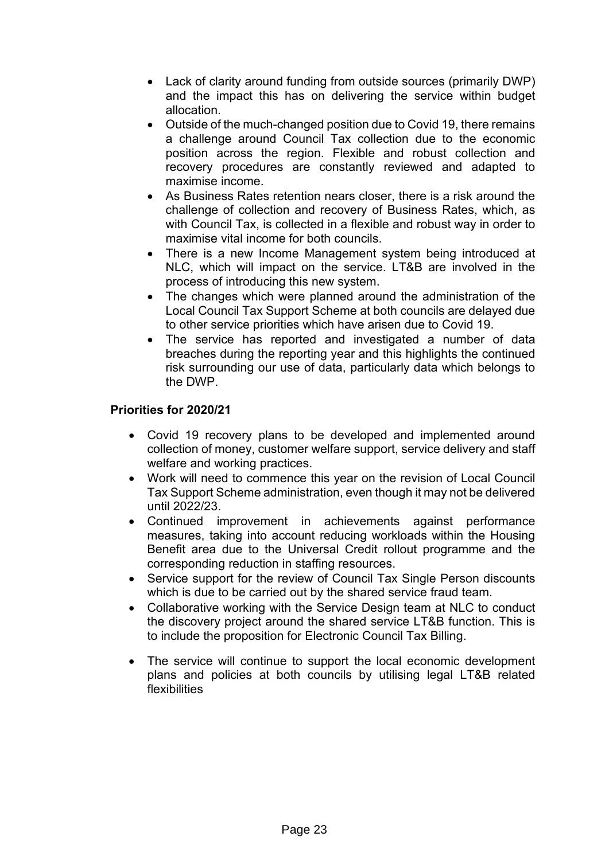- Lack of clarity around funding from outside sources (primarily DWP) and the impact this has on delivering the service within budget allocation.
- Outside of the much-changed position due to Covid 19, there remains a challenge around Council Tax collection due to the economic position across the region. Flexible and robust collection and recovery procedures are constantly reviewed and adapted to maximise income.
- As Business Rates retention nears closer, there is a risk around the challenge of collection and recovery of Business Rates, which, as with Council Tax, is collected in a flexible and robust way in order to maximise vital income for both councils.
- There is a new Income Management system being introduced at NLC, which will impact on the service. LT&B are involved in the process of introducing this new system.
- The changes which were planned around the administration of the Local Council Tax Support Scheme at both councils are delayed due to other service priorities which have arisen due to Covid 19.
- The service has reported and investigated a number of data breaches during the reporting year and this highlights the continued risk surrounding our use of data, particularly data which belongs to the DWP.

# **Priorities for 2020/21**

- Covid 19 recovery plans to be developed and implemented around collection of money, customer welfare support, service delivery and staff welfare and working practices.
- Work will need to commence this year on the revision of Local Council Tax Support Scheme administration, even though it may not be delivered until 2022/23.
- Continued improvement in achievements against performance measures, taking into account reducing workloads within the Housing Benefit area due to the Universal Credit rollout programme and the corresponding reduction in staffing resources.
- Service support for the review of Council Tax Single Person discounts which is due to be carried out by the shared service fraud team.
- Collaborative working with the Service Design team at NLC to conduct the discovery project around the shared service LT&B function. This is to include the proposition for Electronic Council Tax Billing.
- The service will continue to support the local economic development plans and policies at both councils by utilising legal LT&B related flexibilities